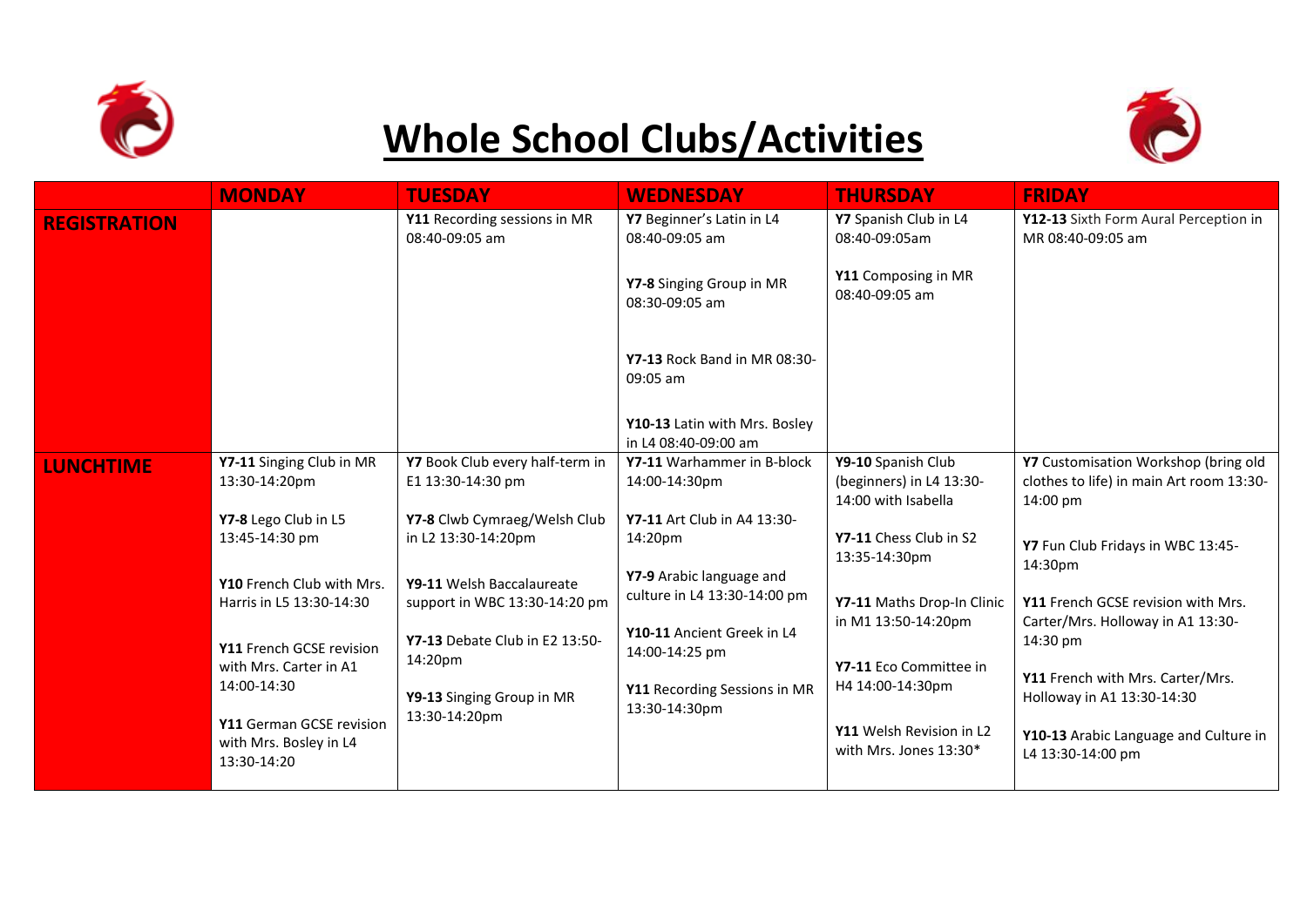

## **Whole School Clubs/Activities**



|                     | <b>MONDAY</b>                                                     | <b>TUESDAY</b>                                             | <b>WEDNESDAY</b>                                         | <b>THURSDAY</b>                                                       | <b>FRIDAY</b>                                                                                |
|---------------------|-------------------------------------------------------------------|------------------------------------------------------------|----------------------------------------------------------|-----------------------------------------------------------------------|----------------------------------------------------------------------------------------------|
| <b>REGISTRATION</b> |                                                                   | Y11 Recording sessions in MR<br>08:40-09:05 am             | Y7 Beginner's Latin in L4<br>08:40-09:05 am              | Y7 Spanish Club in L4<br>08:40-09:05am                                | Y12-13 Sixth Form Aural Perception in<br>MR 08:40-09:05 am                                   |
|                     |                                                                   |                                                            | Y7-8 Singing Group in MR<br>08:30-09:05 am               | Y11 Composing in MR<br>08:40-09:05 am                                 |                                                                                              |
|                     |                                                                   |                                                            | <b>Y7-13 Rock Band in MR 08:30-</b><br>09:05 am          |                                                                       |                                                                                              |
|                     |                                                                   |                                                            | Y10-13 Latin with Mrs. Bosley<br>in L4 08:40-09:00 am    |                                                                       |                                                                                              |
| <b>LUNCHTIME</b>    | Y7-11 Singing Club in MR<br>13:30-14:20pm                         | Y7 Book Club every half-term in<br>E1 13:30-14:30 pm       | Y7-11 Warhammer in B-block<br>14:00-14:30pm              | Y9-10 Spanish Club<br>(beginners) in L4 13:30-<br>14:00 with Isabella | Y7 Customisation Workshop (bring old<br>clothes to life) in main Art room 13:30-<br>14:00 pm |
|                     | Y7-8 Lego Club in L5                                              | Y7-8 Clwb Cymraeg/Welsh Club                               | <b>Y7-11</b> Art Club in A4 13:30-                       |                                                                       |                                                                                              |
|                     | 13:45-14:30 pm                                                    | in L2 13:30-14:20pm                                        | 14:20pm                                                  | Y7-11 Chess Club in S2<br>13:35-14:30pm                               | Y7 Fun Club Fridays in WBC 13:45-<br>14:30pm                                                 |
|                     | Y10 French Club with Mrs.<br>Harris in L5 13:30-14:30             | Y9-11 Welsh Baccalaureate<br>support in WBC 13:30-14:20 pm | Y7-9 Arabic language and<br>culture in L4 13:30-14:00 pm | Y7-11 Maths Drop-In Clinic<br>in M1 13:50-14:20pm                     | Y11 French GCSE revision with Mrs.<br>Carter/Mrs. Holloway in A1 13:30-                      |
|                     | Y11 French GCSE revision                                          | <b>Y7-13</b> Debate Club in E2 13:50-<br>14:20pm           | Y10-11 Ancient Greek in L4<br>14:00-14:25 pm             |                                                                       | 14:30 pm                                                                                     |
|                     | with Mrs. Carter in A1<br>14:00-14:30                             | Y9-13 Singing Group in MR                                  | Y11 Recording Sessions in MR                             | Y7-11 Eco Committee in<br>H4 14:00-14:30pm                            | Y11 French with Mrs. Carter/Mrs.<br>Holloway in A1 13:30-14:30                               |
|                     | Y11 German GCSE revision<br>with Mrs. Bosley in L4<br>13:30-14:20 | 13:30-14:20pm                                              | 13:30-14:30pm                                            | Y11 Welsh Revision in L2<br>with Mrs. Jones $13:30*$                  | Y10-13 Arabic Language and Culture in<br>L4 13:30-14:00 pm                                   |